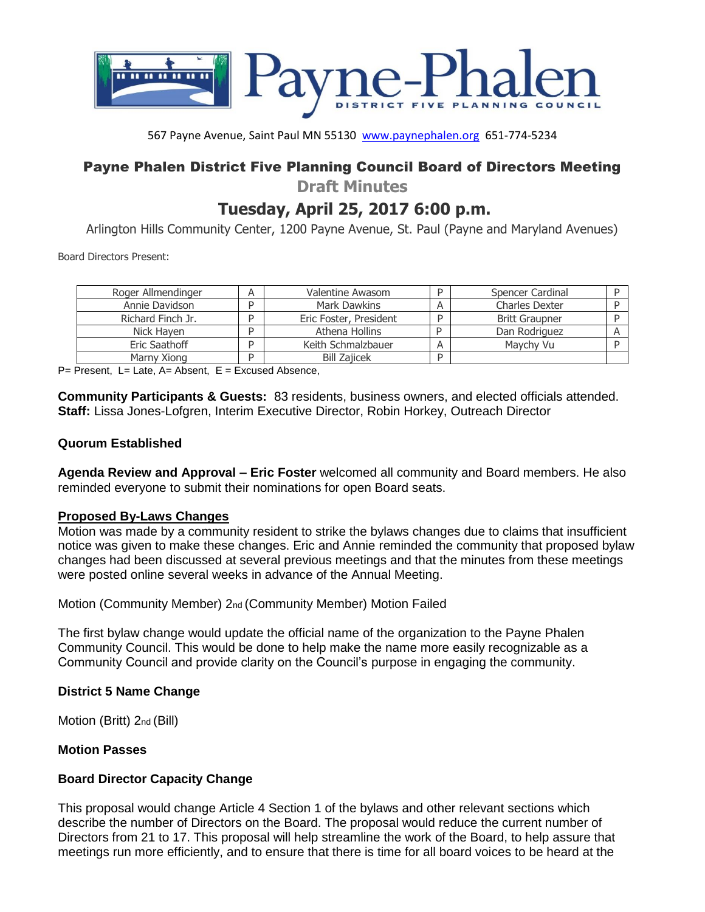

567 Payne Avenue, Saint Paul MN 55130 [www.paynephalen.org](http://www.paynephalen.org/) 651-774-5234

# Payne Phalen District Five Planning Council Board of Directors Meeting

**Draft Minutes** 

# **Tuesday, April 25, 2017 6:00 p.m.**

Arlington Hills Community Center, 1200 Payne Avenue, St. Paul (Payne and Maryland Avenues)

Board Directors Present:

| Roger Allmendinger |   | Valentine Awasom       |   | Spencer Cardinal      |  |
|--------------------|---|------------------------|---|-----------------------|--|
| Annie Davidson     | D | Mark Dawkins           | A | <b>Charles Dexter</b> |  |
| Richard Finch Jr.  |   | Eric Foster, President |   | <b>Britt Graupner</b> |  |
| Nick Haven         |   | Athena Hollins         |   | Dan Rodriguez         |  |
| Eric Saathoff      |   | Keith Schmalzbauer     |   | Maychy Vu             |  |
| Marny Xiong        | n | <b>Bill Zajicek</b>    |   |                       |  |

 $P=$  Present, L= Late, A= Absent, E = Excused Absence,

**Community Participants & Guests:** 83 residents, business owners, and elected officials attended. **Staff:** Lissa Jones-Lofgren, Interim Executive Director, Robin Horkey, Outreach Director

# **Quorum Established**

**Agenda Review and Approval – Eric Foster** welcomed all community and Board members. He also reminded everyone to submit their nominations for open Board seats.

# **Proposed By-Laws Changes**

Motion was made by a community resident to strike the bylaws changes due to claims that insufficient notice was given to make these changes. Eric and Annie reminded the community that proposed bylaw changes had been discussed at several previous meetings and that the minutes from these meetings were posted online several weeks in advance of the Annual Meeting.

Motion (Community Member) 2nd (Community Member) Motion Failed

The first bylaw change would update the official name of the organization to the Payne Phalen Community Council. This would be done to help make the name more easily recognizable as a Community Council and provide clarity on the Council's purpose in engaging the community.

### **District 5 Name Change**

Motion (Britt) 2nd (Bill)

# **Motion Passes**

# **Board Director Capacity Change**

This proposal would change Article 4 Section 1 of the bylaws and other relevant sections which describe the number of Directors on the Board. The proposal would reduce the current number of Directors from 21 to 17. This proposal will help streamline the work of the Board, to help assure that meetings run more efficiently, and to ensure that there is time for all board voices to be heard at the